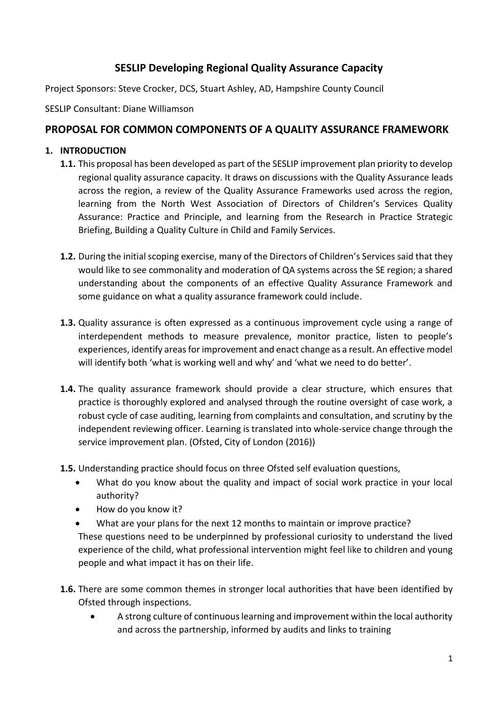# **SESLIP Developing Regional Quality Assurance Capacity**

Project Sponsors: Steve Crocker, DCS, Stuart Ashley, AD, Hampshire County Council

SESLIP Consultant: Diane Williamson

# **PROPOSAL FOR COMMON COMPONENTS OF A QUALITY ASSURANCE FRAMEWORK**

### **1. INTRODUCTION**

- **1.1.** This proposal has been developed as part of the SESLIP improvement plan priority to develop regional quality assurance capacity. It draws on discussions with the Quality Assurance leads across the region, a review of the Quality Assurance Frameworks used across the region, learning from the North West Association of Directors of Children's Services Quality Assurance: Practice and Principle, and learning from the Research in Practice Strategic Briefing, Building a Quality Culture in Child and Family Services.
- **1.2.** During the initial scoping exercise, many of the Directors of Children's Services said that they would like to see commonality and moderation of QA systems across the SE region; a shared understanding about the components of an effective Quality Assurance Framework and some guidance on what a quality assurance framework could include.
- **1.3.** Quality assurance is often expressed as a continuous improvement cycle using a range of interdependent methods to measure prevalence, monitor practice, listen to people's experiences, identify areas for improvement and enact change as a result. An effective model will identify both 'what is working well and why' and 'what we need to do better'.
- **1.4.** The quality assurance framework should provide a clear structure, which ensures that practice is thoroughly explored and analysed through the routine oversight of case work, a robust cycle of case auditing, learning from complaints and consultation, and scrutiny by the independent reviewing officer. Learning is translated into whole-service change through the service improvement plan. (Ofsted, City of London (2016))
- **1.5.** Understanding practice should focus on three Ofsted self evaluation questions,
	- What do you know about the quality and impact of social work practice in your local authority?
	- How do you know it?
	- What are your plans for the next 12 months to maintain or improve practice?

These questions need to be underpinned by professional curiosity to understand the lived experience of the child, what professional intervention might feel like to children and young people and what impact it has on their life.

- **1.6.** There are some common themes in stronger local authorities that have been identified by Ofsted through inspections.
	- A strong culture of continuous learning and improvement within the local authority and across the partnership, informed by audits and links to training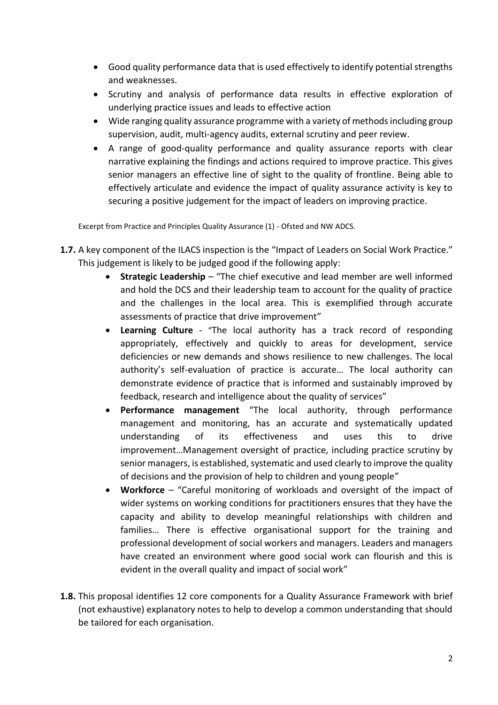- Good quality performance data that is used effectively to identify potential strengths and weaknesses.
- Scrutiny and analysis of performance data results in effective exploration of underlying practice issues and leads to effective action
- Wide ranging quality assurance programme with a variety of methods including group supervision, audit, multi-agency audits, external scrutiny and peer review.
- A range of good-quality performance and quality assurance reports with clear narrative explaining the findings and actions required to improve practice. This gives senior managers an effective line of sight to the quality of frontline. Being able to effectively articulate and evidence the impact of quality assurance activity is key to securing a positive judgement for the impact of leaders on improving practice.

Excerpt from Practice and Principles Quality Assurance (1) - Ofsted and NW ADCS.

- **1.7.** A key component of the ILACS inspection is the "Impact of Leaders on Social Work Practice." This judgement is likely to be judged good if the following apply:
	- **Strategic Leadership** "The chief executive and lead member are well informed and hold the DCS and their leadership team to account for the quality of practice and the challenges in the local area. This is exemplified through accurate assessments of practice that drive improvement"
	- **Learning Culture** "The local authority has a track record of responding appropriately, effectively and quickly to areas for development, service deficiencies or new demands and shows resilience to new challenges. The local authority's self-evaluation of practice is accurate… The local authority can demonstrate evidence of practice that is informed and sustainably improved by feedback, research and intelligence about the quality of services"
	- **Performance management** "The local authority, through performance management and monitoring, has an accurate and systematically updated understanding of its effectiveness and uses this to drive improvement…Management oversight of practice, including practice scrutiny by senior managers, is established, systematic and used clearly to improve the quality of decisions and the provision of help to children and young people"
	- **Workforce** "Careful monitoring of workloads and oversight of the impact of wider systems on working conditions for practitioners ensures that they have the capacity and ability to develop meaningful relationships with children and families… There is effective organisational support for the training and professional development of social workers and managers. Leaders and managers have created an environment where good social work can flourish and this is evident in the overall quality and impact of social work"
- **1.8.** This proposal identifies 12 core components for a Quality Assurance Framework with brief (not exhaustive) explanatory notes to help to develop a common understanding that should be tailored for each organisation.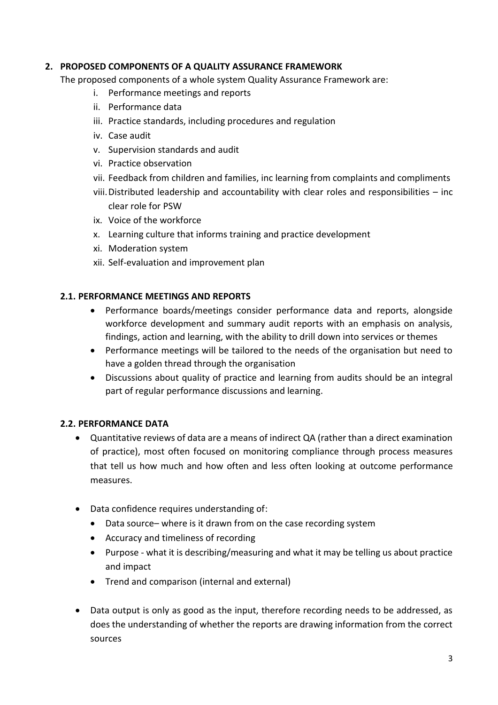## **2. PROPOSED COMPONENTS OF A QUALITY ASSURANCE FRAMEWORK**

The proposed components of a whole system Quality Assurance Framework are:

- i. Performance meetings and reports
- ii. Performance data
- iii. Practice standards, including procedures and regulation
- iv. Case audit
- v. Supervision standards and audit
- vi. Practice observation
- vii. Feedback from children and families, inc learning from complaints and compliments
- viii.Distributed leadership and accountability with clear roles and responsibilities inc clear role for PSW
- ix. Voice of the workforce
- x. Learning culture that informs training and practice development
- xi. Moderation system
- xii. Self-evaluation and improvement plan

#### **2.1. PERFORMANCE MEETINGS AND REPORTS**

- Performance boards/meetings consider performance data and reports, alongside workforce development and summary audit reports with an emphasis on analysis, findings, action and learning, with the ability to drill down into services or themes
- Performance meetings will be tailored to the needs of the organisation but need to have a golden thread through the organisation
- Discussions about quality of practice and learning from audits should be an integral part of regular performance discussions and learning.

#### **2.2. PERFORMANCE DATA**

- Quantitative reviews of data are a means of indirect QA (rather than a direct examination of practice), most often focused on monitoring compliance through process measures that tell us how much and how often and less often looking at outcome performance measures.
- Data confidence requires understanding of:
	- Data source– where is it drawn from on the case recording system
	- Accuracy and timeliness of recording
	- Purpose what it is describing/measuring and what it may be telling us about practice and impact
	- Trend and comparison (internal and external)
- Data output is only as good as the input, therefore recording needs to be addressed, as does the understanding of whether the reports are drawing information from the correct sources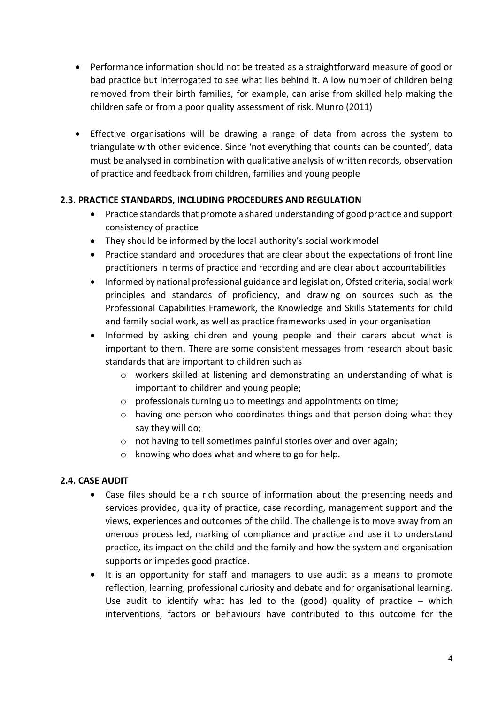- Performance information should not be treated as a straightforward measure of good or bad practice but interrogated to see what lies behind it. A low number of children being removed from their birth families, for example, can arise from skilled help making the children safe or from a poor quality assessment of risk. Munro (2011)
- Effective organisations will be drawing a range of data from across the system to triangulate with other evidence. Since 'not everything that counts can be counted', data must be analysed in combination with qualitative analysis of written records, observation of practice and feedback from children, families and young people

## **2.3. PRACTICE STANDARDS, INCLUDING PROCEDURES AND REGULATION**

- Practice standards that promote a shared understanding of good practice and support consistency of practice
- They should be informed by the local authority's social work model
- Practice standard and procedures that are clear about the expectations of front line practitioners in terms of practice and recording and are clear about accountabilities
- Informed by national professional guidance and legislation, Ofsted criteria, social work principles and standards of proficiency, and drawing on sources such as the Professional Capabilities Framework, the Knowledge and Skills Statements for child and family social work, as well as practice frameworks used in your organisation
- Informed by asking children and young people and their carers about what is important to them. There are some consistent messages from research about basic standards that are important to children such as
	- o workers skilled at listening and demonstrating an understanding of what is important to children and young people;
	- o professionals turning up to meetings and appointments on time;
	- o having one person who coordinates things and that person doing what they say they will do;
	- o not having to tell sometimes painful stories over and over again;
	- o knowing who does what and where to go for help.

#### **2.4. CASE AUDIT**

- Case files should be a rich source of information about the presenting needs and services provided, quality of practice, case recording, management support and the views, experiences and outcomes of the child. The challenge is to move away from an onerous process led, marking of compliance and practice and use it to understand practice, its impact on the child and the family and how the system and organisation supports or impedes good practice.
- It is an opportunity for staff and managers to use audit as a means to promote reflection, learning, professional curiosity and debate and for organisational learning. Use audit to identify what has led to the (good) quality of practice – which interventions, factors or behaviours have contributed to this outcome for the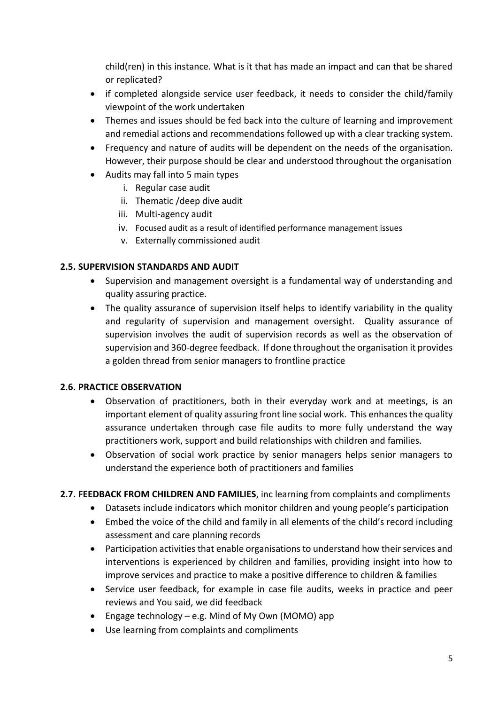child(ren) in this instance. What is it that has made an impact and can that be shared or replicated?

- if completed alongside service user feedback, it needs to consider the child/family viewpoint of the work undertaken
- Themes and issues should be fed back into the culture of learning and improvement and remedial actions and recommendations followed up with a clear tracking system.
- Frequency and nature of audits will be dependent on the needs of the organisation. However, their purpose should be clear and understood throughout the organisation
- Audits may fall into 5 main types
	- i. Regular case audit
	- ii. Thematic /deep dive audit
	- iii. Multi-agency audit
	- iv. Focused audit as a result of identified performance management issues
	- v. Externally commissioned audit

## **2.5. SUPERVISION STANDARDS AND AUDIT**

- Supervision and management oversight is a fundamental way of understanding and quality assuring practice.
- The quality assurance of supervision itself helps to identify variability in the quality and regularity of supervision and management oversight. Quality assurance of supervision involves the audit of supervision records as well as the observation of supervision and 360-degree feedback. If done throughout the organisation it provides a golden thread from senior managers to frontline practice

# **2.6. PRACTICE OBSERVATION**

- Observation of practitioners, both in their everyday work and at meetings, is an important element of quality assuring front line social work. This enhances the quality assurance undertaken through case file audits to more fully understand the way practitioners work, support and build relationships with children and families.
- Observation of social work practice by senior managers helps senior managers to understand the experience both of practitioners and families

# **2.7. FEEDBACK FROM CHILDREN AND FAMILIES**, inc learning from complaints and compliments

- Datasets include indicators which monitor children and young people's participation
- Embed the voice of the child and family in all elements of the child's record including assessment and care planning records
- Participation activities that enable organisations to understand how their services and interventions is experienced by children and families, providing insight into how to improve services and practice to make a positive difference to children & families
- Service user feedback, for example in case file audits, weeks in practice and peer reviews and You said, we did feedback
- Engage technology e.g. Mind of My Own (MOMO) app
- Use learning from complaints and compliments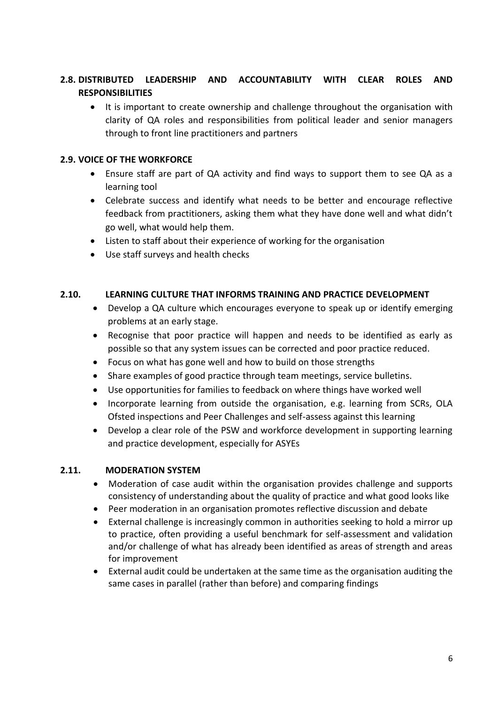# **2.8. DISTRIBUTED LEADERSHIP AND ACCOUNTABILITY WITH CLEAR ROLES AND RESPONSIBILITIES**

• It is important to create ownership and challenge throughout the organisation with clarity of QA roles and responsibilities from political leader and senior managers through to front line practitioners and partners

## **2.9. VOICE OF THE WORKFORCE**

- Ensure staff are part of QA activity and find ways to support them to see QA as a learning tool
- Celebrate success and identify what needs to be better and encourage reflective feedback from practitioners, asking them what they have done well and what didn't go well, what would help them.
- Listen to staff about their experience of working for the organisation
- Use staff surveys and health checks

#### **2.10. LEARNING CULTURE THAT INFORMS TRAINING AND PRACTICE DEVELOPMENT**

- Develop a QA culture which encourages everyone to speak up or identify emerging problems at an early stage.
- Recognise that poor practice will happen and needs to be identified as early as possible so that any system issues can be corrected and poor practice reduced.
- Focus on what has gone well and how to build on those strengths
- Share examples of good practice through team meetings, service bulletins.
- Use opportunities for families to feedback on where things have worked well
- Incorporate learning from outside the organisation, e.g. learning from SCRs, OLA Ofsted inspections and Peer Challenges and self-assess against this learning
- Develop a clear role of the PSW and workforce development in supporting learning and practice development, especially for ASYEs

#### **2.11. MODERATION SYSTEM**

- Moderation of case audit within the organisation provides challenge and supports consistency of understanding about the quality of practice and what good looks like
- Peer moderation in an organisation promotes reflective discussion and debate
- External challenge is increasingly common in authorities seeking to hold a mirror up to practice, often providing a useful benchmark for self-assessment and validation and/or challenge of what has already been identified as areas of strength and areas for improvement
- External audit could be undertaken at the same time as the organisation auditing the same cases in parallel (rather than before) and comparing findings